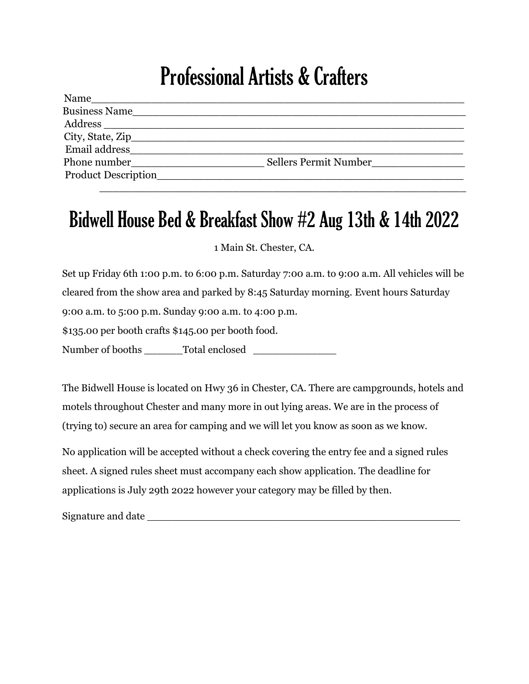## Professional Artists & Crafters

| Name                       |                       |
|----------------------------|-----------------------|
| Business Name              |                       |
|                            |                       |
|                            |                       |
| Email address              |                       |
| Phone number               | Sellers Permit Number |
| <b>Product Description</b> |                       |
|                            |                       |

## Bidwell House Bed & Breakfast Show #2 Aug 13th & 14th 2022

1 Main St. Chester, CA.

Set up Friday 6th 1:00 p.m. to 6:00 p.m. Saturday 7:00 a.m. to 9:00 a.m. All vehicles will be cleared from the show area and parked by 8:45 Saturday morning. Event hours Saturday 9:00 a.m. to 5:00 p.m. Sunday 9:00 a.m. to 4:00 p.m.

\$135.00 per booth crafts \$145.00 per booth food.

Number of booths \_\_\_\_\_\_Total enclosed \_\_\_\_\_\_\_\_\_\_\_\_\_

The Bidwell House is located on Hwy 36 in Chester, CA. There are campgrounds, hotels and motels throughout Chester and many more in out lying areas. We are in the process of (trying to) secure an area for camping and we will let you know as soon as we know.

No application will be accepted without a check covering the entry fee and a signed rules sheet. A signed rules sheet must accompany each show application. The deadline for applications is July 29th 2022 however your category may be filled by then.

Signature and date